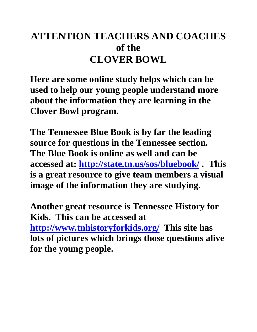# **ATTENTION TEACHERS AND COACHES of the CLOVER BOWL**

**Here are some online study helps which can be used to help our young people understand more about the information they are learning in the Clover Bowl program.** 

**The Tennessee Blue Book is by far the leading source for questions in the Tennessee section. The Blue Book is online as well and can be accessed at:<http://state.tn.us/sos/bluebook/> . This is a great resource to give team members a visual image of the information they are studying.** 

**Another great resource is Tennessee History for Kids. This can be accessed at <http://www.tnhistoryforkids.org/>This site has lots of pictures which brings those questions alive for the young people.**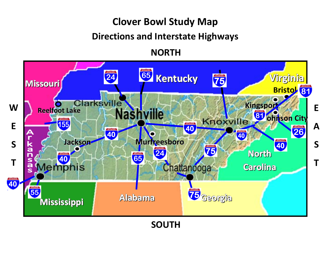# **Clover Bowl Study Map**

#### **Directions and Interstate Highways**

#### **NORTH**



**SOUTH**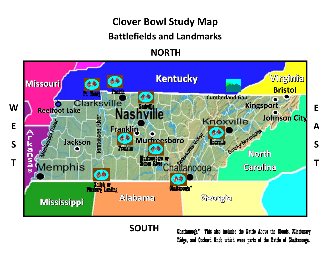# **Clover Bowl Study Map**

#### **Battlefields and Landmarks**

#### **NORTH**



**SOUTH**

Chattanooga\* This also includes the Battle Above the Clouds, Missionary Ridge, and Orchard Knob which were parts of the Battle of Chattanooga.